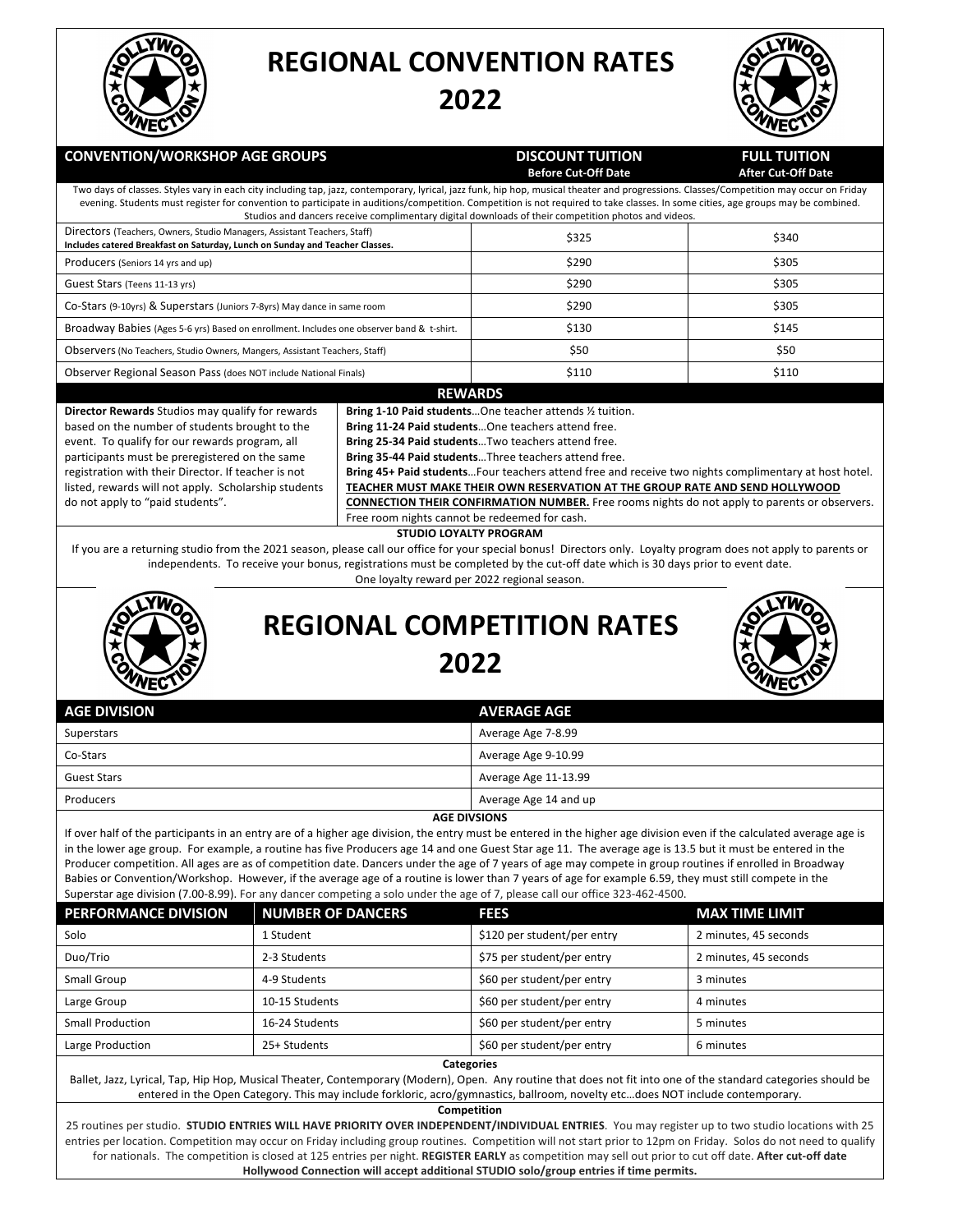

## **REGIONAL CONVENTION RATES 2022**



| <b>CONVENTION/WORKSHOP AGE GROUPS</b>                                                                                                                                                                                                                                                                                                                                                                                                                                                                                                                                                                                                                                                                                                                                                                                                                                                                                               |                                                                              |                          | <b>DISCOUNT TUITION</b><br><b>Before Cut-Off Date</b>                                                                                                                                                                                                                                                                                                                                                                                                                                                                                                                                                                                 | <b>FULL TUITION</b><br><b>After Cut-Off Date</b>                                                                                                                                                                                                                                                                                                                            |  |  |  |
|-------------------------------------------------------------------------------------------------------------------------------------------------------------------------------------------------------------------------------------------------------------------------------------------------------------------------------------------------------------------------------------------------------------------------------------------------------------------------------------------------------------------------------------------------------------------------------------------------------------------------------------------------------------------------------------------------------------------------------------------------------------------------------------------------------------------------------------------------------------------------------------------------------------------------------------|------------------------------------------------------------------------------|--------------------------|---------------------------------------------------------------------------------------------------------------------------------------------------------------------------------------------------------------------------------------------------------------------------------------------------------------------------------------------------------------------------------------------------------------------------------------------------------------------------------------------------------------------------------------------------------------------------------------------------------------------------------------|-----------------------------------------------------------------------------------------------------------------------------------------------------------------------------------------------------------------------------------------------------------------------------------------------------------------------------------------------------------------------------|--|--|--|
|                                                                                                                                                                                                                                                                                                                                                                                                                                                                                                                                                                                                                                                                                                                                                                                                                                                                                                                                     |                                                                              |                          |                                                                                                                                                                                                                                                                                                                                                                                                                                                                                                                                                                                                                                       | Two days of classes. Styles vary in each city including tap, jazz, contemporary, lyrical, jazz funk, hip hop, musical theater and progressions. Classes/Competition may occur on Friday<br>evening. Students must register for convention to participate in auditions/competition. Competition is not required to take classes. In some cities, age groups may be combined. |  |  |  |
| Studios and dancers receive complimentary digital downloads of their competition photos and videos.<br>Directors (Teachers, Owners, Studio Managers, Assistant Teachers, Staff)                                                                                                                                                                                                                                                                                                                                                                                                                                                                                                                                                                                                                                                                                                                                                     |                                                                              |                          | \$325                                                                                                                                                                                                                                                                                                                                                                                                                                                                                                                                                                                                                                 | \$340                                                                                                                                                                                                                                                                                                                                                                       |  |  |  |
|                                                                                                                                                                                                                                                                                                                                                                                                                                                                                                                                                                                                                                                                                                                                                                                                                                                                                                                                     | Includes catered Breakfast on Saturday, Lunch on Sunday and Teacher Classes. |                          |                                                                                                                                                                                                                                                                                                                                                                                                                                                                                                                                                                                                                                       |                                                                                                                                                                                                                                                                                                                                                                             |  |  |  |
|                                                                                                                                                                                                                                                                                                                                                                                                                                                                                                                                                                                                                                                                                                                                                                                                                                                                                                                                     | Producers (Seniors 14 yrs and up)                                            |                          |                                                                                                                                                                                                                                                                                                                                                                                                                                                                                                                                                                                                                                       | \$305<br>\$305                                                                                                                                                                                                                                                                                                                                                              |  |  |  |
| Guest Stars (Teens 11-13 yrs)                                                                                                                                                                                                                                                                                                                                                                                                                                                                                                                                                                                                                                                                                                                                                                                                                                                                                                       |                                                                              |                          | \$290                                                                                                                                                                                                                                                                                                                                                                                                                                                                                                                                                                                                                                 |                                                                                                                                                                                                                                                                                                                                                                             |  |  |  |
| Co-Stars (9-10yrs) & Superstars (Juniors 7-8yrs) May dance in same room                                                                                                                                                                                                                                                                                                                                                                                                                                                                                                                                                                                                                                                                                                                                                                                                                                                             |                                                                              |                          | \$290                                                                                                                                                                                                                                                                                                                                                                                                                                                                                                                                                                                                                                 | \$305                                                                                                                                                                                                                                                                                                                                                                       |  |  |  |
| Broadway Babies (Ages 5-6 yrs) Based on enrollment. Includes one observer band & t-shirt.                                                                                                                                                                                                                                                                                                                                                                                                                                                                                                                                                                                                                                                                                                                                                                                                                                           |                                                                              |                          | \$130                                                                                                                                                                                                                                                                                                                                                                                                                                                                                                                                                                                                                                 | \$145                                                                                                                                                                                                                                                                                                                                                                       |  |  |  |
| Observers (No Teachers, Studio Owners, Mangers, Assistant Teachers, Staff)                                                                                                                                                                                                                                                                                                                                                                                                                                                                                                                                                                                                                                                                                                                                                                                                                                                          |                                                                              |                          | \$50                                                                                                                                                                                                                                                                                                                                                                                                                                                                                                                                                                                                                                  | \$50                                                                                                                                                                                                                                                                                                                                                                        |  |  |  |
| \$110<br>Observer Regional Season Pass (does NOT include National Finals)<br>\$110<br><b>REWARDS</b>                                                                                                                                                                                                                                                                                                                                                                                                                                                                                                                                                                                                                                                                                                                                                                                                                                |                                                                              |                          |                                                                                                                                                                                                                                                                                                                                                                                                                                                                                                                                                                                                                                       |                                                                                                                                                                                                                                                                                                                                                                             |  |  |  |
| registration with their Director. If teacher is not<br>Bring 45+ Paid studentsFour teachers attend free and receive two nights complimentary at host hotel.<br>listed, rewards will not apply. Scholarship students<br>TEACHER MUST MAKE THEIR OWN RESERVATION AT THE GROUP RATE AND SEND HOLLYWOOD<br>do not apply to "paid students".<br><b>CONNECTION THEIR CONFIRMATION NUMBER.</b> Free rooms nights do not apply to parents or observers.<br>Free room nights cannot be redeemed for cash.<br><b>STUDIO LOYALTY PROGRAM</b><br>If you are a returning studio from the 2021 season, please call our office for your special bonus! Directors only. Loyalty program does not apply to parents or<br>independents. To receive your bonus, registrations must be completed by the cut-off date which is 30 days prior to event date.<br>One loyalty reward per 2022 regional season.<br><b>REGIONAL COMPETITION RATES</b><br>2022 |                                                                              |                          |                                                                                                                                                                                                                                                                                                                                                                                                                                                                                                                                                                                                                                       |                                                                                                                                                                                                                                                                                                                                                                             |  |  |  |
| <b>AGE DIVISION</b>                                                                                                                                                                                                                                                                                                                                                                                                                                                                                                                                                                                                                                                                                                                                                                                                                                                                                                                 |                                                                              |                          | <b>AVERAGE AGE</b>                                                                                                                                                                                                                                                                                                                                                                                                                                                                                                                                                                                                                    |                                                                                                                                                                                                                                                                                                                                                                             |  |  |  |
| Superstars                                                                                                                                                                                                                                                                                                                                                                                                                                                                                                                                                                                                                                                                                                                                                                                                                                                                                                                          |                                                                              |                          | Average Age 7-8.99                                                                                                                                                                                                                                                                                                                                                                                                                                                                                                                                                                                                                    |                                                                                                                                                                                                                                                                                                                                                                             |  |  |  |
| Co-Stars                                                                                                                                                                                                                                                                                                                                                                                                                                                                                                                                                                                                                                                                                                                                                                                                                                                                                                                            |                                                                              |                          | Average Age 9-10.99                                                                                                                                                                                                                                                                                                                                                                                                                                                                                                                                                                                                                   |                                                                                                                                                                                                                                                                                                                                                                             |  |  |  |
| <b>Guest Stars</b>                                                                                                                                                                                                                                                                                                                                                                                                                                                                                                                                                                                                                                                                                                                                                                                                                                                                                                                  |                                                                              |                          | Average Age 11-13.99                                                                                                                                                                                                                                                                                                                                                                                                                                                                                                                                                                                                                  |                                                                                                                                                                                                                                                                                                                                                                             |  |  |  |
| Producers                                                                                                                                                                                                                                                                                                                                                                                                                                                                                                                                                                                                                                                                                                                                                                                                                                                                                                                           |                                                                              |                          | Average Age 14 and up                                                                                                                                                                                                                                                                                                                                                                                                                                                                                                                                                                                                                 |                                                                                                                                                                                                                                                                                                                                                                             |  |  |  |
|                                                                                                                                                                                                                                                                                                                                                                                                                                                                                                                                                                                                                                                                                                                                                                                                                                                                                                                                     |                                                                              |                          | <b>AGE DIVSIONS</b><br>in the lower age group. For example, a routine has five Producers age 14 and one Guest Star age 11. The average age is 13.5 but it must be entered in the<br>Producer competition. All ages are as of competition date. Dancers under the age of 7 years of age may compete in group routines if enrolled in Broadway<br>Babies or Convention/Workshop. However, if the average age of a routine is lower than 7 years of age for example 6.59, they must still compete in the<br>Superstar age division (7.00-8.99). For any dancer competing a solo under the age of 7, please call our office 323-462-4500. | If over half of the participants in an entry are of a higher age division, the entry must be entered in the higher age division even if the calculated average age is                                                                                                                                                                                                       |  |  |  |
| PERFORMANCE DIVISION                                                                                                                                                                                                                                                                                                                                                                                                                                                                                                                                                                                                                                                                                                                                                                                                                                                                                                                |                                                                              | <b>NUMBER OF DANCERS</b> | <b>FEES</b>                                                                                                                                                                                                                                                                                                                                                                                                                                                                                                                                                                                                                           | <b>MAX TIME LIMIT</b>                                                                                                                                                                                                                                                                                                                                                       |  |  |  |
| Solo                                                                                                                                                                                                                                                                                                                                                                                                                                                                                                                                                                                                                                                                                                                                                                                                                                                                                                                                | 1 Student                                                                    |                          | \$120 per student/per entry                                                                                                                                                                                                                                                                                                                                                                                                                                                                                                                                                                                                           | 2 minutes, 45 seconds                                                                                                                                                                                                                                                                                                                                                       |  |  |  |
| Duo/Trio                                                                                                                                                                                                                                                                                                                                                                                                                                                                                                                                                                                                                                                                                                                                                                                                                                                                                                                            | 2-3 Students                                                                 |                          | \$75 per student/per entry                                                                                                                                                                                                                                                                                                                                                                                                                                                                                                                                                                                                            | 2 minutes, 45 seconds                                                                                                                                                                                                                                                                                                                                                       |  |  |  |
| Small Group                                                                                                                                                                                                                                                                                                                                                                                                                                                                                                                                                                                                                                                                                                                                                                                                                                                                                                                         | 4-9 Students                                                                 |                          | \$60 per student/per entry                                                                                                                                                                                                                                                                                                                                                                                                                                                                                                                                                                                                            | 3 minutes                                                                                                                                                                                                                                                                                                                                                                   |  |  |  |
| Large Group                                                                                                                                                                                                                                                                                                                                                                                                                                                                                                                                                                                                                                                                                                                                                                                                                                                                                                                         | 10-15 Students                                                               |                          | \$60 per student/per entry                                                                                                                                                                                                                                                                                                                                                                                                                                                                                                                                                                                                            | 4 minutes                                                                                                                                                                                                                                                                                                                                                                   |  |  |  |
| <b>Small Production</b>                                                                                                                                                                                                                                                                                                                                                                                                                                                                                                                                                                                                                                                                                                                                                                                                                                                                                                             | 16-24 Students                                                               |                          | \$60 per student/per entry                                                                                                                                                                                                                                                                                                                                                                                                                                                                                                                                                                                                            | 5 minutes                                                                                                                                                                                                                                                                                                                                                                   |  |  |  |
| Large Production                                                                                                                                                                                                                                                                                                                                                                                                                                                                                                                                                                                                                                                                                                                                                                                                                                                                                                                    | 25+ Students                                                                 |                          | \$60 per student/per entry                                                                                                                                                                                                                                                                                                                                                                                                                                                                                                                                                                                                            | 6 minutes                                                                                                                                                                                                                                                                                                                                                                   |  |  |  |
| 25 routines per studio. STUDIO ENTRIES WILL HAVE PRIORITY OVER INDEPENDENT/INDIVIDUAL ENTRIES. You may register up to two studio locations with 25                                                                                                                                                                                                                                                                                                                                                                                                                                                                                                                                                                                                                                                                                                                                                                                  |                                                                              |                          | Categories<br>entered in the Open Category. This may include forkloric, acro/gymnastics, ballroom, novelty etcdoes NOT include contemporary.<br>Competition                                                                                                                                                                                                                                                                                                                                                                                                                                                                           | Ballet, Jazz, Lyrical, Tap, Hip Hop, Musical Theater, Contemporary (Modern), Open. Any routine that does not fit into one of the standard categories should be                                                                                                                                                                                                              |  |  |  |
|                                                                                                                                                                                                                                                                                                                                                                                                                                                                                                                                                                                                                                                                                                                                                                                                                                                                                                                                     |                                                                              |                          | for nationals. The competition is closed at 125 entries per night. REGISTER EARLY as competition may sell out prior to cut off date. After cut-off date                                                                                                                                                                                                                                                                                                                                                                                                                                                                               | entries per location. Competition may occur on Friday including group routines. Competition will not start prior to 12pm on Friday. Solos do not need to qualify                                                                                                                                                                                                            |  |  |  |